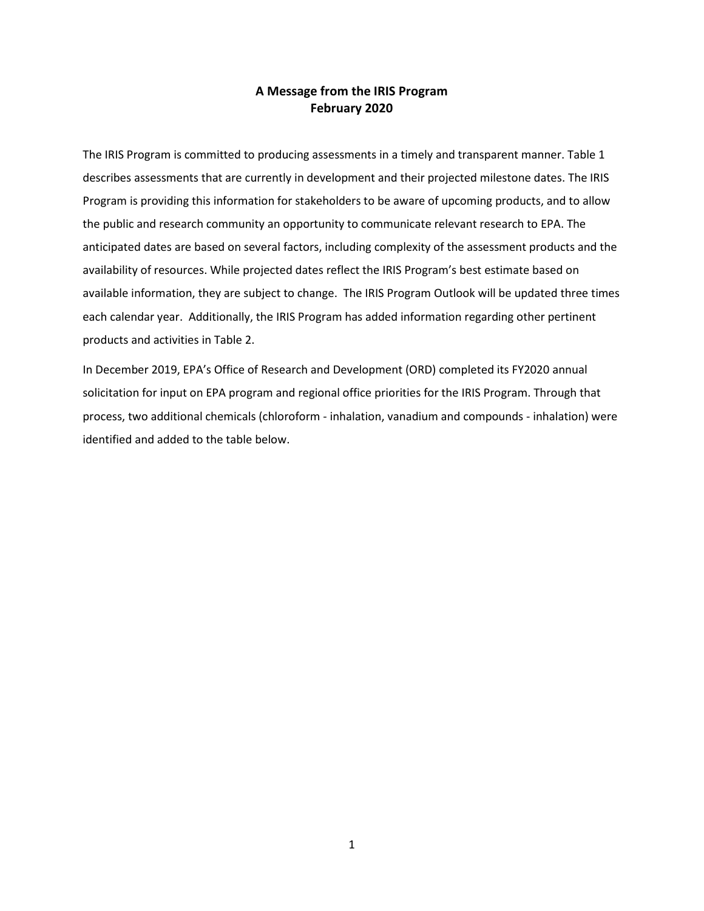## **A Message from the IRIS Program February 2020**

The IRIS Program is committed to producing assessments in a timely and transparent manner. Table 1 describes assessments that are currently in development and their projected milestone dates. The IRIS Program is providing this information for stakeholders to be aware of upcoming products, and to allow the public and research community an opportunity to communicate relevant research to EPA. The anticipated dates are based on several factors, including complexity of the assessment products and the availability of resources. While projected dates reflect the IRIS Program's best estimate based on available information, they are subject to change. The IRIS Program Outlook will be updated three times each calendar year. Additionally, the IRIS Program has added information regarding other pertinent products and activities in Table 2.

In December 2019, EPA's Office of Research and Development (ORD) completed its FY2020 annual solicitation for input on EPA program and regional office priorities for the IRIS Program. Through that process, two additional chemicals (chloroform - inhalation, vanadium and compounds - inhalation) were identified and added to the table below.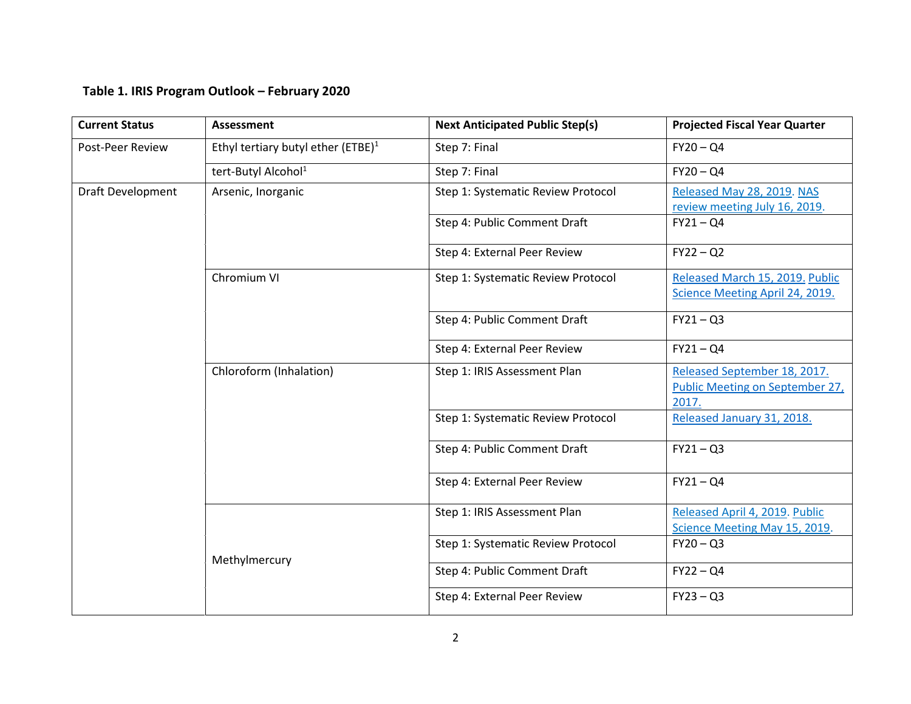## **Table 1. IRIS Program Outlook – February 2020**

| <b>Current Status</b> | <b>Assessment</b>                              | <b>Next Anticipated Public Step(s)</b> | <b>Projected Fiscal Year Quarter</b>                                     |
|-----------------------|------------------------------------------------|----------------------------------------|--------------------------------------------------------------------------|
| Post-Peer Review      | Ethyl tertiary butyl ether (ETBE) <sup>1</sup> | Step 7: Final                          | $FY20 - Q4$                                                              |
|                       | tert-Butyl Alcohol <sup>1</sup>                | Step 7: Final                          | $FY20 - QA$                                                              |
| Draft Development     | Arsenic, Inorganic                             | Step 1: Systematic Review Protocol     | Released May 28, 2019. NAS<br>review meeting July 16, 2019.              |
|                       |                                                | Step 4: Public Comment Draft           | $FY21 - QA$                                                              |
|                       |                                                | Step 4: External Peer Review           | $FY22 - Q2$                                                              |
|                       | Chromium VI                                    | Step 1: Systematic Review Protocol     | Released March 15, 2019. Public<br>Science Meeting April 24, 2019.       |
|                       |                                                | Step 4: Public Comment Draft           | $FY21 - Q3$                                                              |
|                       |                                                | Step 4: External Peer Review           | $FY21 - Q4$                                                              |
|                       | Chloroform (Inhalation)                        | Step 1: IRIS Assessment Plan           | Released September 18, 2017.<br>Public Meeting on September 27,<br>2017. |
|                       |                                                | Step 1: Systematic Review Protocol     | Released January 31, 2018.                                               |
|                       |                                                | Step 4: Public Comment Draft           | $FY21 - Q3$                                                              |
|                       |                                                | Step 4: External Peer Review           | $FY21 - Q4$                                                              |
|                       |                                                | Step 1: IRIS Assessment Plan           | Released April 4, 2019. Public<br>Science Meeting May 15, 2019.          |
|                       | Methylmercury                                  | Step 1: Systematic Review Protocol     | $FY20 - Q3$                                                              |
|                       |                                                | Step 4: Public Comment Draft           | $FY22 - QA$                                                              |
|                       |                                                | Step 4: External Peer Review           | $FY23 - Q3$                                                              |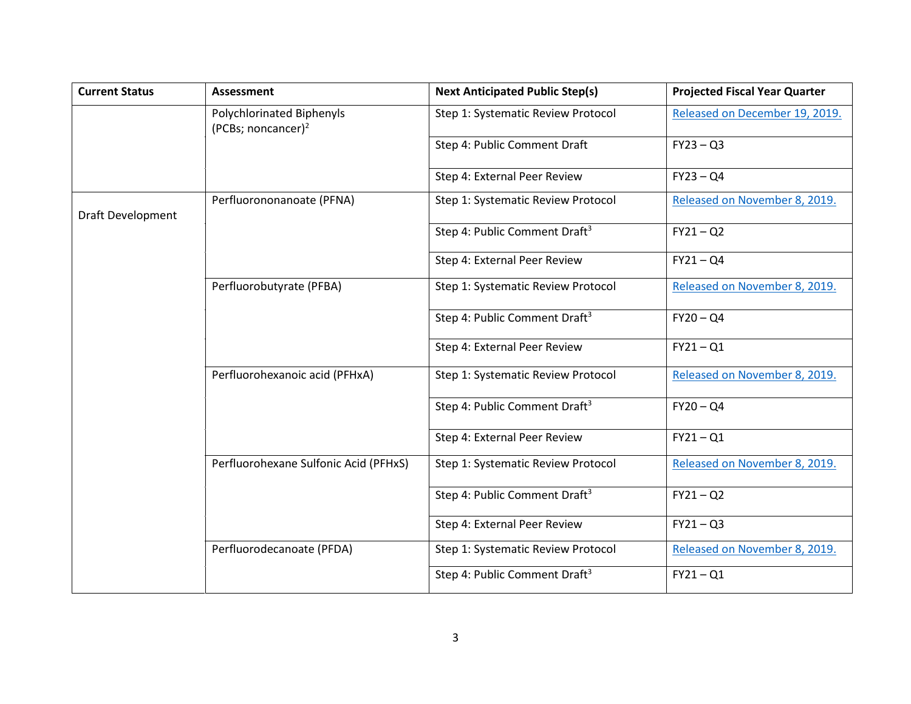| <b>Current Status</b>    | <b>Assessment</b>                                  | <b>Next Anticipated Public Step(s)</b>    | <b>Projected Fiscal Year Quarter</b> |
|--------------------------|----------------------------------------------------|-------------------------------------------|--------------------------------------|
|                          | Polychlorinated Biphenyls<br>(PCBs; noncancer) $2$ | Step 1: Systematic Review Protocol        | Released on December 19, 2019.       |
|                          |                                                    | Step 4: Public Comment Draft              | $FY23 - Q3$                          |
|                          |                                                    | Step 4: External Peer Review              | $FY23 - Q4$                          |
| <b>Draft Development</b> | Perfluorononanoate (PFNA)                          | Step 1: Systematic Review Protocol        | Released on November 8, 2019.        |
|                          |                                                    | Step 4: Public Comment Draft <sup>3</sup> | $FY21 - Q2$                          |
|                          |                                                    | Step 4: External Peer Review              | $FY21 - Q4$                          |
|                          | Perfluorobutyrate (PFBA)                           | Step 1: Systematic Review Protocol        | Released on November 8, 2019.        |
|                          |                                                    | Step 4: Public Comment Draft <sup>3</sup> | $FY20 - QA$                          |
|                          |                                                    | Step 4: External Peer Review              | $FY21 - Q1$                          |
|                          | Perfluorohexanoic acid (PFHxA)                     | Step 1: Systematic Review Protocol        | Released on November 8, 2019.        |
|                          |                                                    | Step 4: Public Comment Draft <sup>3</sup> | $FY20 - QA$                          |
|                          |                                                    | Step 4: External Peer Review              | $FY21 - Q1$                          |
|                          | Perfluorohexane Sulfonic Acid (PFHxS)              | Step 1: Systematic Review Protocol        | Released on November 8, 2019.        |
|                          |                                                    | Step 4: Public Comment Draft <sup>3</sup> | $FY21 - Q2$                          |
|                          |                                                    | Step 4: External Peer Review              | $FY21 - Q3$                          |
|                          | Perfluorodecanoate (PFDA)                          | Step 1: Systematic Review Protocol        | Released on November 8, 2019.        |
|                          |                                                    | Step 4: Public Comment Draft <sup>3</sup> | $FY21 - Q1$                          |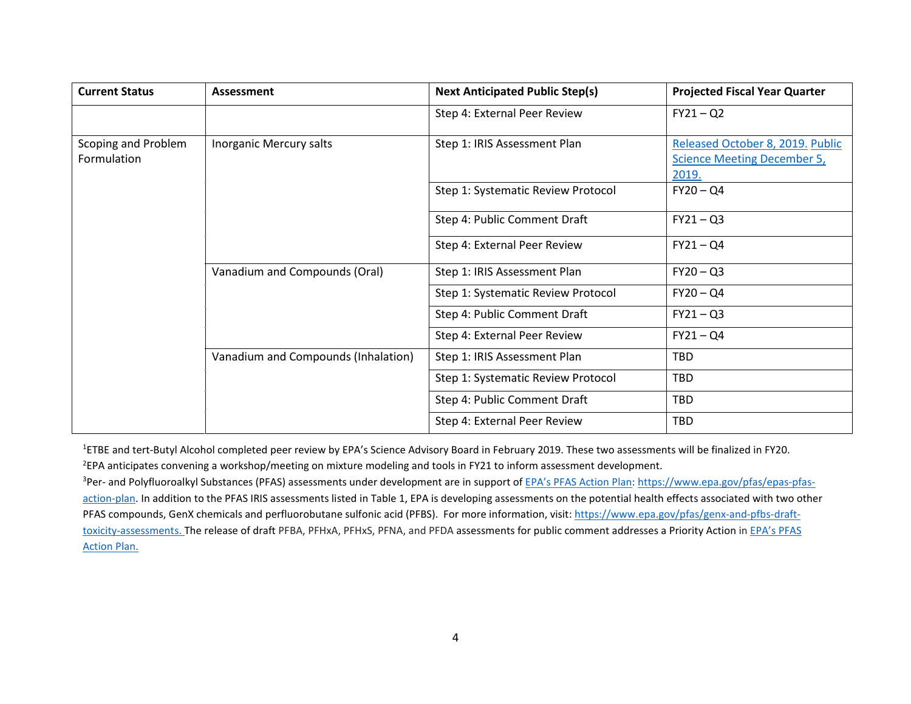| <b>Current Status</b>              | <b>Assessment</b>                   | <b>Next Anticipated Public Step(s)</b> | <b>Projected Fiscal Year Quarter</b>                                            |
|------------------------------------|-------------------------------------|----------------------------------------|---------------------------------------------------------------------------------|
|                                    |                                     | Step 4: External Peer Review           | $FY21 - Q2$                                                                     |
| Scoping and Problem<br>Formulation | Inorganic Mercury salts             | Step 1: IRIS Assessment Plan           | Released October 8, 2019. Public<br><b>Science Meeting December 5,</b><br>2019. |
|                                    |                                     | Step 1: Systematic Review Protocol     | $FY20 - QA$                                                                     |
|                                    |                                     | Step 4: Public Comment Draft           | $FY21 - Q3$                                                                     |
|                                    |                                     | Step 4: External Peer Review           | $FY21 - Q4$                                                                     |
|                                    | Vanadium and Compounds (Oral)       | Step 1: IRIS Assessment Plan           | $FY20 - Q3$                                                                     |
|                                    |                                     | Step 1: Systematic Review Protocol     | $FY20 - QA$                                                                     |
|                                    |                                     | Step 4: Public Comment Draft           | $FY21 - Q3$                                                                     |
|                                    |                                     | Step 4: External Peer Review           | $FY21 - Q4$                                                                     |
|                                    | Vanadium and Compounds (Inhalation) | Step 1: IRIS Assessment Plan           | <b>TBD</b>                                                                      |
|                                    |                                     | Step 1: Systematic Review Protocol     | <b>TBD</b>                                                                      |
|                                    |                                     | Step 4: Public Comment Draft           | <b>TBD</b>                                                                      |
|                                    |                                     | Step 4: External Peer Review           | TBD                                                                             |

<sup>1</sup>ETBE and tert-Butyl Alcohol completed peer review by EPA's Science Advisory Board in February 2019. These two assessments will be finalized in FY20. 2 EPA anticipates convening a workshop/meeting on mixture modeling and tools in FY21 to inform assessment development.

<sup>3</sup>Per- and Polyfluoroalkyl Substances (PFAS) assessments under development are in support of **EPA's PFAS Action Plan[: https://www.epa.gov/pfas/epas-pfas](https://www.epa.gov/pfas/epas-pfas-action-plan)**[action-plan.](https://www.epa.gov/pfas/epas-pfas-action-plan) In addition to the PFAS IRIS assessments listed in Table 1, EPA is developing assessments on the potential health effects associated with two other PFAS compounds, GenX chemicals and perfluorobutane sulfonic acid (PFBS). For more information, visit[: https://www.epa.gov/pfas/genx-and-pfbs-draft](https://www.epa.gov/pfas/genx-and-pfbs-draft-toxicity-assessments)[toxicity-assessments.](https://www.epa.gov/pfas/genx-and-pfbs-draft-toxicity-assessments) The release of draft PFBA, PFHxA, PFHxS, PFNA, and PFDA assessments for public comment addresses a Priority Action in EPA's PFAS [Action Plan.](https://www.epa.gov/sites/production/files/2019-02/documents/pfas_action_plan_021319_508compliant_1.pdf)